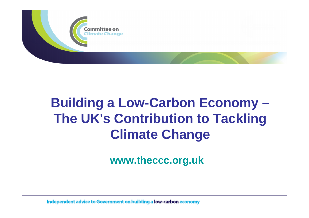

# **Building a Low-Carbon Economy – The UK's Contribution to Tackling Climate Change**

**www.theccc.org.uk**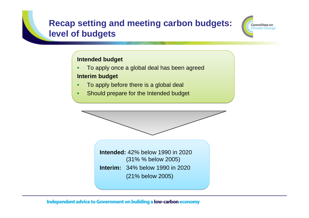#### **Recap setting and meeting carbon budgets: level of budgets**



#### **Intended budget Intended budget**

- To apply once a global deal has been agreed To apply once a global deal has been agreed **Interim budget Interim budget**
- To apply before there is a global deal To apply before there is a global deal
- Should prepare for the Intended budget Should prepare for the Intended budget



(21% below 2005) (21% below 2005)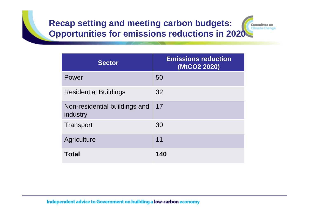## **Recap setting and meeting carbon budgets: Opportunities for emissions reductions in 2020**



| <b>Sector</b>                             | <b>Emissions reduction</b><br>(MtCO2 2020) |
|-------------------------------------------|--------------------------------------------|
| Power                                     | 50                                         |
| <b>Residential Buildings</b>              | 32                                         |
| Non-residential buildings and<br>industry | 17                                         |
| Transport                                 | 30                                         |
| Agriculture                               | 11                                         |
| <b>Total</b>                              | 140                                        |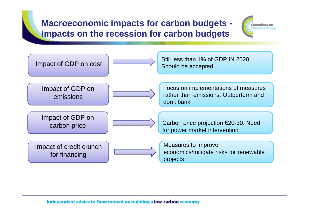### **Macroeconomic impacts for carbon budgets - Impacts on the recession for carbon budgets**



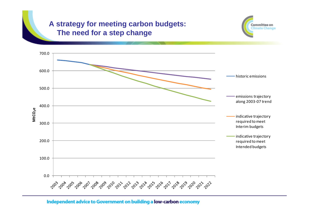#### **A strategy for meeting carbon budgets: The need for a step change**